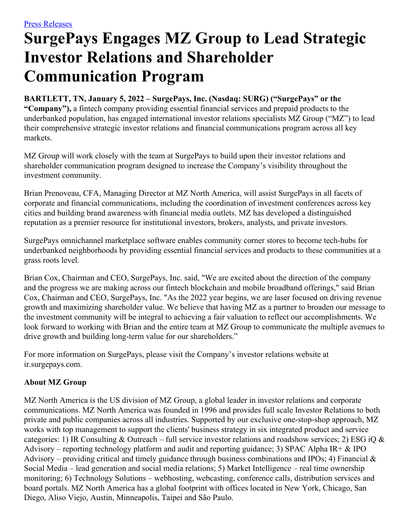## **SurgePays Engages MZ Group to Lead Strategic Investor Relations and Shareholder Communication Program**

**BARTLETT, TN, January 5, 2022 – SurgePays, Inc. (Nasdaq: SURG) ("SurgePays" or the "Company"),** a fintech company providing essential financial services and prepaid products to the underbanked population, has engaged international investor relations specialists MZ Group ("MZ") to lead their comprehensive strategic investor relations and financial communications program across all key markets.

MZ Group will work closely with the team at SurgePays to build upon their investor relations and shareholder communication program designed to increase the Company's visibility throughout the investment community.

Brian Prenoveau, CFA, Managing Director at MZ North America, will assist SurgePays in all facets of corporate and financial communications, including the coordination of investment conferences across key cities and building brand awareness with financial media outlets. MZ has developed a distinguished reputation as a premier resource for institutional investors, brokers, analysts, and private investors.

SurgePays omnichannel marketplace software enables community corner stores to become tech-hubs for underbanked neighborhoods by providing essential financial services and products to these communities at a grass roots level.

Brian Cox, Chairman and CEO, SurgePays, Inc. said, "We are excited about the direction of the company and the progress we are making across our fintech blockchain and mobile broadband offerings," said Brian Cox, Chairman and CEO, SurgePays, Inc. "As the 2022 year begins, we are laser focused on driving revenue growth and maximizing shareholder value. We believe that having MZ as a partner to broaden our message to the investment community will be integral to achieving a fair valuation to reflect our accomplishments. We look forward to working with Brian and the entire team at MZ Group to communicate the multiple avenues to drive growth and building long-term value for our shareholders."

For more information on SurgePays, please visit the Company's investor relations website at ir.surgepays.com.

## **About MZ Group**

MZ North America is the US division of MZ Group, a global leader in investor relations and corporate communications. MZ North America was founded in 1996 and provides full scale Investor Relations to both private and public companies across all industries. Supported by our exclusive one‐stop‐shop approach, MZ works with top management to support the clients' business strategy in six integrated product and service categories: 1) IR Consulting & Outreach – full service investor relations and roadshow services; 2) ESG iQ & Advisory – reporting technology platform and audit and reporting guidance; 3) SPAC Alpha IR+  $\&$  IPO Advisory – providing critical and timely guidance through business combinations and IPOs; 4) Financial  $\&$ Social Media – lead generation and social media relations; 5) Market Intelligence – real time ownership monitoring; 6) Technology Solutions – webhosting, webcasting, conference calls, distribution services and board portals. MZ North America has a global footprint with offices located in New York, Chicago, San Diego, Aliso Viejo, Austin, Minneapolis, Taipei and São Paulo.